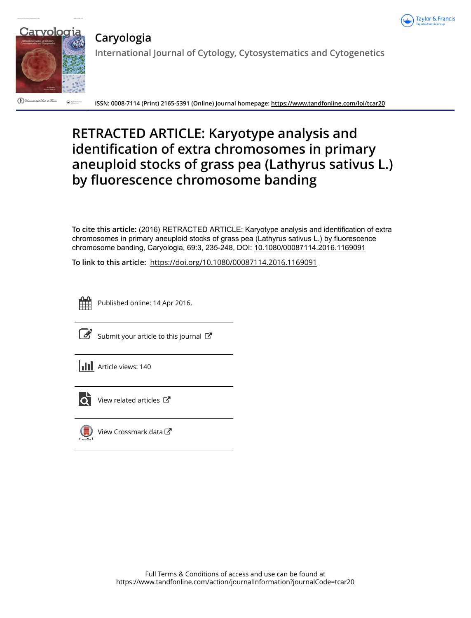



## **Caryologia**

**International Journal of Cytology, Cytosystematics and Cytogenetics**

.<br>Wilaianaita degli Studi di Firma  $\bigodot$  int

**ISSN: 0008-7114 (Print) 2165-5391 (Online) Journal homepage: https://www.tandfonline.com/loi/tcar20**

# **RETRACTED ARTICLE: Karyotype analysis and identification of extra chromosomes in primary aneuploid stocks of grass pea (Lathyrus sativus L.) by fluorescence chromosome banding**

**To cite this article:** (2016) RETRACTED ARTICLE: Karyotype analysis and identification of extra chromosomes in primary aneuploid stocks of grass pea (Lathyrus sativus L.) by fluorescence chromosome banding, Caryologia, 69:3, 235-248, DOI: 10.1080/00087114.2016.1169091

**To link to this article:** https://doi.org/10.1080/00087114.2016.1169091



Published online: 14 Apr 2016.

Submit your article to this journal  $\mathbb{Z}$ 

**Article views: 140** 



View related articles  $\mathbb{Z}$ 



View Crossmark data<sup>√</sup>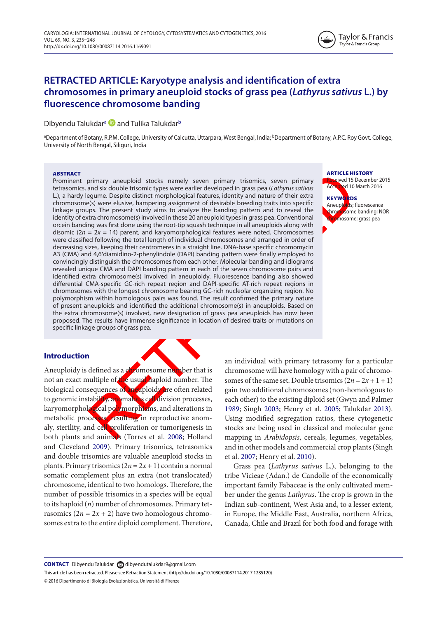## **RETRACTED ARTICLE: Karyotype analysis and identification of extra chromosomes in primary aneuploid stocks of grass pea (Lathyrus sativus L.) by fluorescence chromosome banding**

## Dibyendu Talukdar<sup>a</sup> D and Tulika Talukdar<sup>b</sup>

<sup>a</sup>Department of Botany, R.P.M. College, University of Calcutta, Uttarpara, West Bengal, India; <sup>b</sup>Department of Botany, A.P.C. Roy Govt. College, University of North Bengal, Siliguri, India

#### ABSTRACT

Prominent primary aneuploid stocks namely seven primary trisomics, seven primary tetrasomics, and six double trisomic types were earlier developed in grass pea (Lathyrus sativus L.), a hardy legume. Despite distinct morphological features, identity and nature of their extra chromosome(s) were elusive, hampering assignment of desirable breeding traits into specific linkage groups. The present study aims to analyze the banding pattern and to reveal the identity of extra chromosome(s) involved in these 20 aneuploid types in grass pea. Conventional orcein banding was first done using the root-tip squash technique in all aneuploids along with disomic ( $2n = 2x = 14$ ) parent, and karyomorphological features were noted. Chromosomes were classified following the total length of individual chromosomes and arranged in order of decreasing sizes, keeping their centromeres in a straight line. DNA-base specific chromomycin A3 (CMA) and 4,6ʹdiamidino-2-phenylindole (DAPI) banding pattern were finally employed to convincingly distinguish the chromosomes from each other. Molecular banding and idiograms revealed unique CMA and DAPI banding pattern in each of the seven chromosome pairs and identified extra chromosome(s) involved in aneuploidy. Fluorescence banding also showed differential CMA-specific GC-rich repeat region and DAPI-specific AT-rich repeat regions in chromosomes with the longest chromosome bearing GC-rich nucleolar organizing region. No polymorphism within homologous pairs was found. The result confirmed the primary nature of present aneuploids and identified the additional chromosome(s) in aneuploids. Based on the extra chromosome(s) involved, new designation of grass pea aneuploids has now been proposed. The results have immense significance in location of desired traits or mutations on specific linkage groups of grass pea.

## **KEYWORDS** Aneuploids; fluorescence shromosome banding; NOR omosome; grass pea ARTICLE HISTORY rived 15 December 2015 ed 10 March 2016

## **Introduction**

Aneuploidy is defined as a chromosome number that is not an exact multiple of the usual haploid number. The biological consequences of aneuploidy are often related to genomic instability, anomalous cell division processes, karyomorphological polymorphisms, and alterations in metabolic processes, resulting in reproductive anomaly, sterility, and cell proliferation or tumorigenesis in both plants and animals (Torres et al. 2008; Holland and Cleveland 2009). Primary trisomics, tetrasomics and double trisomics are valuable aneuploid stocks in plants. Primary trisomics  $(2n = 2x + 1)$  contain a normal somatic complement plus an extra (not translocated) chromosome, identical to two homologs. Therefore, the number of possible trisomics in a species will be equal to its haploid  $(n)$  number of chromosomes. Primary tetrasomics  $(2n = 2x + 2)$  have two homologous chromosomes extra to the entire diploid complement. Therefore,

an individual with primary tetrasomy for a particular chromosome will have homology with a pair of chromosomes of the same set. Double trisomics  $(2n = 2x + 1 + 1)$ gain two additional chromosomes (non-homologous to each other) to the existing diploid set (Gwyn and Palmer 1989; Singh 2003; Henry et al. 2005; Talukdar 2013). Using modified segregation ratios, these cytogenetic stocks are being used in classical and molecular gene mapping in Arabidopsis, cereals, legumes, vegetables, and in other models and commercial crop plants (Singh et al. 2007; Henry et al. 2010).

Grass pea (Lathyrus sativus L.), belonging to the tribe Vicieae (Adan.) de Candolle of the economically important family Fabaceae is the only cultivated member under the genus Lathyrus. The crop is grown in the Indian sub-continent, West Asia and, to a lesser extent, in Europe, the Middle East, Australia, northern Africa, Canada, Chile and Brazil for both food and forage with

**CONTACT** Dibyendu Talukdar **@** dibyendutalukdar9@gmail.com

this article has been retracted. Please see retraction statement (http://dx.doi.org/10.1080/00087114.2017.1285120)

© 2016 Dipartimento di Biologia Evoluzionistica, Università di Firenze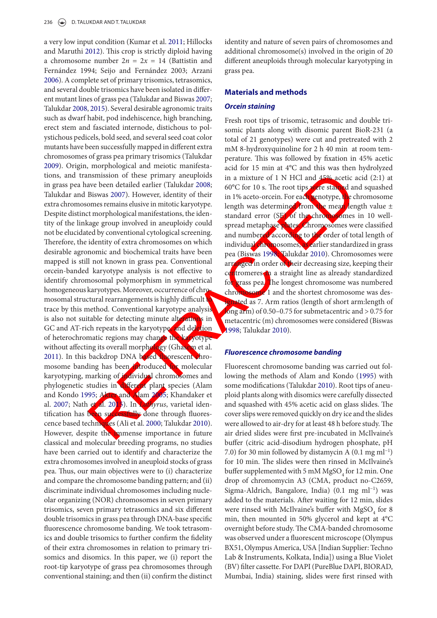a very low input condition (Kumar et al. 2011; Hillocks and Maruthi 2012). This crop is strictly diploid having a chromosome number  $2n = 2x = 14$  (Battistin and Fernández 1994; Seijo and Fernández 2003; Arzani 2006). A complete set of primary trisomics, tetrasomics, and several double trisomics have been isolated in different mutant lines of grass pea (Talukdar and Biswas 2007; Talukdar 2008, 2015). Several desirable agronomic traits such as dwarf habit, pod indehiscence, high branching, erect stem and fasciated internode, distichous to polystichous pedicels, bold seed, and several seed coat color mutants have been successfully mapped in different extra chromosomes of grass pea primary trisomics (Talukdar 2009). Origin, morphological and meiotic manifestations, and transmission of these primary aneuploids in grass pea have been detailed earlier (Talukdar 2008; Talukdar and Biswas 2007). However, identity of their extra chromosomes remains elusive in mitotic karyotype. Despite distinct morphological manifestations, the identity of the linkage group involved in aneuploidy could not be elucidated by conventional cytological screening. Therefore, the identity of extra chromosomes on which desirable agronomic and biochemical traits have been mapped is still not known in grass pea. Conventional orcein-banded karyotype analysis is not effective to identify chromosomal polymorphism in symmetrical homogeneous karyotypes. Moreover, occurrence of chromosomal structural rearrangements is highly difficult to trace by this method. Conventional karyotype analysis is also not suitable for detecting minute alterations in GC and AT-rich repeats in the karyotype, and deletion of heterochromatic regions may change the karyotype without affecting its overall morphology (Ghasem et al. 2011). In this backdrop DNA based thorescent chromosome banding has been introduced for molecular karyotyping, marking of individual chromosomes and phylogenetic studies in different plant species (Alam and Kondo 1995; Akter and Alam 2005; Khandaker et al. 2007; Nath et al. 20 $(5)$ . In Lathyrus, varietal identification has been successfully done through fluorescence based techniques (Ali et al. 2000; Talukdar 2010). However, despite the immense importance in future classical and molecular breeding programs, no studies have been carried out to identify and characterize the extra chromosomes involved in aneuploid stocks of grass pea. Thus, our main objectives were to (i) characterize and compare the chromosome banding pattern; and (ii) discriminate individual chromosomes including nucleolar organizing (NOR) chromosomes in seven primary trisomics, seven primary tetrasomics and six different double trisomics in grass pea through DNA-base specific fluorescence chromosome banding. We took tetrasomics and double trisomics to further confirm the fidelity of their extra chromosomes in relation to primary trisomics and disomics. In this paper, we (i) report the root-tip karyotype of grass pea chromosomes through conventional staining; and then (ii) confirm the distinct

identity and nature of seven pairs of chromosomes and additional chromosome(s) involved in the origin of 20 different aneuploids through molecular karyotyping in grass pea.

## **Materials and methods**

#### **Orcein staining**

Fresh root tips of trisomic, tetrasomic and double trisomic plants along with disomic parent BioR-231 (a total of 21 genotypes) were cut and pretreated with 2 mM 8-hydroxyquinoline for 2 h 40 min at room temperature. This was followed by fixation in 45% acetic acid for 15 min at 4°C and this was then hydrolyzed in a mixture of 1 N HCl and 45% acetic acid (2:1) at 60°C for 10 s. The root tips were stained and squashed in 1% aceto-orcein. For each genotype, the chromosome length was determined from the mean length value ± standard error (SE) of the chromosomes in 10 wellspread metaphase plates. Chromosomes were classified and number d according to the order of total length of individual chromosomes, as earlier standardized in grass pea (Biswas 1998; Talukdar 2010). Chromosomes were arranged in order of their decreasing size, keeping their centromeres in a straight line as already standardized for grass pea. The longest chromosome was numbered chromosome<sup>1</sup> and the shortest chromosome was desnated as 7. Arm ratios (length of short arm:length of long arm) of 0.50–0.75 for submetacentric and > 0.75 for metacentric (m) chromosomes were considered (Biswas 1998; Talukdar 2010).

#### **Fluorescence chromosome banding**

Fluorescent chromosome banding was carried out following the methods of Alam and Kondo (1995) with some modifications (Talukdar 2010). Root tips of aneuploid plants along with disomics were carefully dissected and squashed with 45% acetic acid on glass slides. The cover slips were removed quickly on dry ice and the slides were allowed to air-dry for at least 48 h before study. The air dried slides were first pre-incubated in McIlvaine's buffer (citric acid-disodium hydrogen phosphate, pH 7.0) for 30 min followed by distamycin A (0.1 mg ml−1) for 10 min. The slides were then rinsed in McIlvaine's buffer supplemented with 5 mM  $MgSO_4$  for 12 min. One drop of chromomycin A3 (CMA, product no-C2659, Sigma-Aldrich, Bangalore, India) (0.1 mg ml−1) was added to the materials. After waiting for 12 min, slides were rinsed with McIlvaine's buffer with  ${\rm MgSO}_{4}$  for  $8$ min, then mounted in 50% glycerol and kept at 4°C overnight before study. The CMA-banded chromosome was observed under a fluorescent microscope (Olympus BX51, Olympus America, USA [Indian Supplier: Techno Lab & Instruments, Kolkata, India]) using a Blue Violet (BV) filter cassette. For DAPI (PureBlue DAPI, BIORAD, Mumbai, India) staining, slides were first rinsed with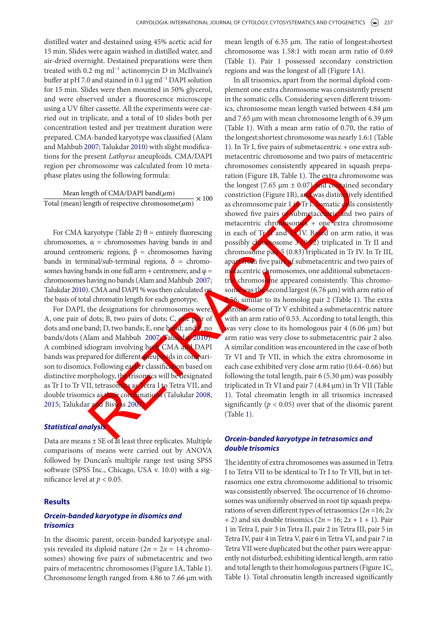distilled water and destained using 45% acetic acid for 15 min. Slides were again washed in distilled water, and air-dried overnight. Destained preparations were then treated with 0.2 mg ml−1 actinomycin D in McIlvaine's buffer at pH 7.0 and stained in 0.1 μg ml−1 DAPI solution for 15 min. Slides were then mounted in 50% glycerol, and were observed under a fluorescence microscope using a UV filter cassette. All the experiments were carried out in triplicate, and a total of 10 slides both per concentration tested and per treatment duration were prepared. CMA-banded karyotype was classified (Alam and Mahbub 2007; Talukdar 2010) with slight modifications for the present Lathyrus aneuploids. CMA/DAPI region per chromosome was calculated from 10 metaphase plates using the following formula:

Mean length of CMA/DAPI band $(\mu m)$ Total (mean) length of respective chromosome $(\mu m)$  $\times\,100$ 

For CMA karyotype (Table 2) θ = entirely fluorescing chromosomes,  $\alpha$  = chromosomes having bands in and around centromeric regions,  $β =$  chromosomes having bands in terminal/sub-terminal regions,  $\delta$  = chromosomes having bands in one full arm + centromere, and  $\varphi$  = chromosomes having no bands (Alam and Mahbub 2007; Talukdar 2010). CMA and DAPI % was then calculated on the basis of total chromatin length for each genotype.

For DAPI, the designations for chromosomes were. A, one pair of dots; B, two pairs of dots; C, one pair of dots and one band; D, two bands; E, one band; and  $\frac{1}{2}$ , no bands/dots (Alam and Mahbub 2007; Talukdar 2010). A combined idiogram involving both CMA and DAPI bands was prepared for different aneuploids in comparison to disomics. Following earlier classification based on distinctive morphology, the trisomics will be designated as Tr I to Tr VII, tetrasomics as Tetra I to Tetra VII, and double trisomics as their combinations (Talukdar 2008, 2015; Talukdar and Biswas 2007).

## **Statistical analysis**

Data are means ± SE of at least three replicates. Multiple comparisons of means were carried out by ANOVA followed by Duncan's multiple range test using SPSS software (SPSS Inc., Chicago, USA v. 10.0) with a significance level at  $p < 0.05$ .

### **Results**

## **Orcein-banded karyotype in disomics and trisomics**

In the disomic parent, orcein-banded karyotype analysis revealed its diploid nature  $(2n = 2x = 14$  chromosomes) showing five pairs of submetacentric and two pairs of metacentric chromosomes (Figure 1A, Table 1). Chromosome length ranged from 4.86 to 7.66 μm with mean length of 6.35 μm. The ratio of longest:shortest chromosome was 1.58:1 with mean arm ratio of 0.69 (Table 1). Pair 1 possessed secondary constriction regions and was the longest of all (Figure 1A).

In all trisomics, apart from the normal diploid complement one extra chromosome was consistently present in the somatic cells. Considering seven different trisomics, chromosome mean length varied between 4.84 μm and 7.65 μm with mean chromosome length of 6.39 μm (Table 1). With a mean arm ratio of 0.70, the ratio of the longest:shortest chromosome was nearly 1.6:1 (Table 1). In Tr I, five pairs of submetacentric + one extra submetacentric chromosome and two pairs of metacentric chromosomes consistently appeared in squash preparation (Figure 1B, Table 1). The extra chromosome was the longest (7.65  $\mu$ m  $\pm$  0.07) and contained secondary constriction (Figure 1B), and was distinctively identified as chromosome pair  $1$  in Tr I. Somatic cells consistently showed five pairs of submetacentric and two pairs of metacentric chromosomes + one extra chromosome in each of Tr II and Tr IV. Based on arm ratio, it was possibly chromosome 3 (0.92) triplicated in Tr II and chromosome pair 5 (0.83) triplicated in Tr IV. In Tr III, apart from five pairs of submetacentric and two pairs of metacentric chromosomes, one additional submetacentric chromosome appeared consistently. This chromosome was the second largest ( $6.76 \,\mu$ m) with arm ratio of 0.56, similar to its homolog pair 2 (Table 1). The extra chromosome of Tr V exhibited a submetacentric nature with an arm ratio of 0.53. According to total length, this was very close to its homologous pair 4 (6.06 μm) but arm ratio was very close to submetacentric pair 2 also. A similar condition was encountered in the case of both Tr VI and Tr VII, in which the extra chromosome in each case exhibited very close arm ratio (0.64–0.66) but following the total length, pair 6 (5.30  $\mu$ m) was possibly triplicated in Tr VI and pair 7 (4.84 μm) in Tr VII (Table 1). Total chromatin length in all trisomics increased significantly ( $p < 0.05$ ) over that of the disomic parent (Table 1).

## **Orcein-banded karyotype in tetrasomics and double trisomics**

The identity of extra chromosomes was assumed in Tetra I to Tetra VII to be identical to Tr I to Tr VII, but in tetrasomics one extra chromosome additional to trisomic was consistently observed. The occurrence of 16 chromosomes was uniformly observed in root tip squash preparations of seven different types of tetrasomics  $(2n=16; 2x)$ + 2) and six double trisomics  $(2n = 16; 2x + 1 + 1)$ . Pair 1 in Tetra I, pair 3 in Tetra II, pair 2 in Tetra III, pair 5 in Tetra IV, pair 4 in Tetra V, pair 6 in Tetra VI, and pair 7 in Tetra VII were duplicated but the other pairs were apparently not disturbed; exhibiting identical length, arm ratio and total length to their homologous partners (Figure 1C, Table 1). Total chromatin length increased significantly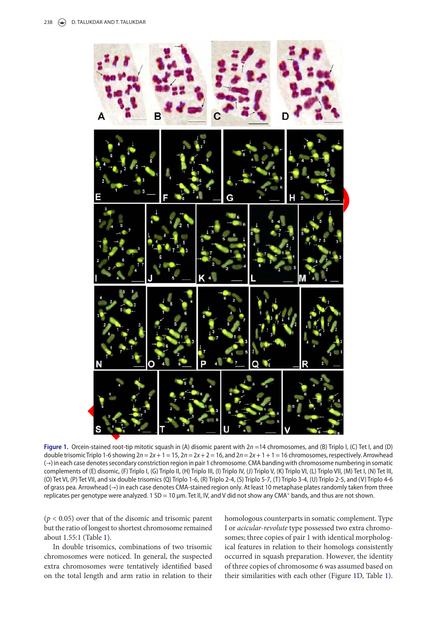

**Figure 1.** Orcein-stained root-tip mitotic squash in (A) disomic parent with  $2n = 14$  chromosomes, and (B) Triplo I, (C) Tet I, and (D) double trisomic Triplo 1-6 showing  $2n = 2x + 1 = 15$ ,  $2n = 2x + 2 = 16$ , and  $2n = 2x + 1 + 1 = 16$  chromosomes, respectively. Arrowhead (→) in each case denotes secondary constriction region in pair 1 chromosome. Cma banding with chromosome numbering in somatic complements of (E) disomic, (F) Triplo I, (G) Triplo II, (H) Triplo III, (I) Triplo IV, (J) Triplo V, (K) Triplo VI, (L) Triplo VII, (M) Tet I, (N) Tet III, (O) Tet VI, (P) Tet VII, and six double trisomics (Q) Triplo 1-6, (R) Triplo 2-4, (S) Triplo 5-7, (T) Triplo 3-4, (U) Triplo 2-5, and (V) Triplo 4-6 of grass pea. Arrowhead (→) in each case denotes CMA-stained region only. At least 10 metaphase plates randomly taken from three replicates per genotype were analyzed. 1 SD = 10 μm. Tet II, IV, and V did not show any CMA+ bands, and thus are not shown.

 $(p < 0.05)$  over that of the disomic and trisomic parent but the ratio of longest to shortest chromosome remained about 1.55:1 (Table 1).

In double trisomics, combinations of two trisomic chromosomes were noticed. In general, the suspected extra chromosomes were tentatively identified based on the total length and arm ratio in relation to their homologous counterparts in somatic complement. Type I or acicular-revolute type possessed two extra chromosomes; three copies of pair 1 with identical morphological features in relation to their homologs consistently occurred in squash preparation. However, the identity of three copies of chromosome 6 was assumed based on their similarities with each other (Figure 1D, Table 1).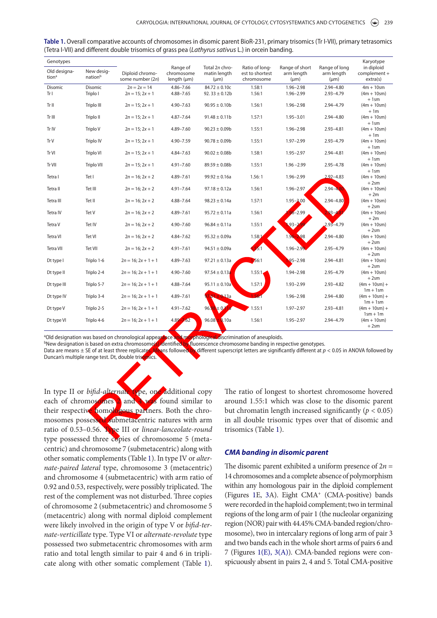| Table 1. Overall comparative accounts of chromosomes in disomic parent BioR-231, primary trisomics (Tr I-VII), primary tetrasomics |
|------------------------------------------------------------------------------------------------------------------------------------|
| (Tetra I-VII) and different double trisomics of grass pea (Lathyrus sativus L.) in orcein banding.                                 |

| Genotypes                         |                       |                                     |                                            |                                             |                                                 |                                           |                                          | Karyotype                              |
|-----------------------------------|-----------------------|-------------------------------------|--------------------------------------------|---------------------------------------------|-------------------------------------------------|-------------------------------------------|------------------------------------------|----------------------------------------|
| Old designa-<br>tion <sup>a</sup> | New desig-<br>nationb | Diploid chromo-<br>some number (2n) | Range of<br>chromosome<br>length $(\mu m)$ | Total 2n chro-<br>matin length<br>$(\mu m)$ | Ratio of long-<br>est to shortest<br>chromosome | Range of short<br>arm length<br>$(\mu m)$ | Range of long<br>arm length<br>$(\mu m)$ | in diploid<br>complement +<br>extra(s) |
| <b>Disomic</b>                    | <b>Disomic</b>        | $2n = 2x = 14$                      | $4.86 - 7.66$                              | $84.72 \pm 0.10c$                           | 1.58:1                                          | $1.96 - 2.98$                             | $2.94 - 4.80$                            | $4m + 10$ sm                           |
| Tr I                              | Triplo I              | $2n = 15$ ; $2x + 1$                | $4.88 - 7.65$                              | 92. $33 \pm 0.12b$                          | 1.56:1                                          | $1.96 - 2.99$                             | $2.93 - 4.79$                            | $(4m + 10sm)$                          |
| $Tr$ II                           | <b>Triplo III</b>     | $2n = 15$ ; $2x + 1$                | $4.90 - 7.63$                              | $90.95 \pm 0.10$                            | 1.56:1                                          | $1.96 - 2.98$                             | 2.94-4.79                                | $+1$ sm<br>$(4m + 10sm)$<br>$+1m$      |
| Tr III                            | Triplo II             | $2n = 15$ ; $2x + 1$                | $4.87 - 7.64$                              | $91.48 \pm 0.11b$                           | 1.57:1                                          | $1.95 - 3.01$                             | 2.94-4.80                                | $(4m + 10sm)$<br>$+1$ sm               |
| Tr IV                             | Triplo V              | $2n = 15$ ; $2x + 1$                | $4.89 - 7.60$                              | $90.23 \pm 0.09b$                           | 1.55:1                                          | $1.96 - 2.98$                             | $2.93 - 4.81$                            | $(4m + 10sm)$<br>$+1m$                 |
| Tr V                              | <b>Triplo IV</b>      | $2n = 15$ ; $2x + 1$                | $4.90 - 7.59$                              | $90.78 \pm 0.09$                            | 1.55:1                                          | $1.97 - 2.99$                             | $2.93 - 4.79$                            | $(4m + 10sm)$<br>$+1$ sm               |
| Tr VI                             | Triplo VI             | $2n = 15$ ; $2x + 1$                | $4.84 - 7.63$                              | $90.02 \pm 0.08$                            | 1.58:1                                          | $1.95 - 2.97$                             | 2.94-4.81                                | $(4m + 10sm)$<br>$+1$ sm               |
| Tr VII                            | <b>Triplo VII</b>     | $2n = 15$ ; $2x + 1$                | $4.91 - 7.60$                              | $89.59 \pm 0.08b$                           | 1.55:1                                          | $1.96 - 2.99$                             | $2.95 - 4.78$                            | $(4m + 10sm)$<br>$+1$ sm               |
| Tetra I                           | Tet I                 | $2n = 16$ ; $2x + 2$                | $4.89 - 7.61$                              | $99.92 \pm 0.16a$                           | 1.56:1                                          | $1.96 - 2.99$                             | $292 - 4.83$                             | $(4m + 10sm)$<br>$+2$ sm               |
| Tetra II                          | Tet III               | $2n = 16$ ; $2x + 2$                | $4.91 - 7.64$                              | $97.18 \pm 0.12a$                           | 1.56:1                                          | $1.96 - 2.97$                             | $2.94 - 4.8$                             | $(4m + 10sm)$<br>$+2m$                 |
| Tetra III                         | Tet II                | $2n = 16$ ; $2x + 2$                | $4.88 - 7.64$                              | $98.23 \pm 0.14a$                           | 1.57:1                                          | $1.95 - 3.00$                             | $2.94 - 4.80$                            | $(4m + 10sm)$<br>$+2$ sm               |
| Tetra IV                          | Tet V                 | $2n = 16$ ; $2x + 2$                | $4.89 - 7.61$                              | $95.72 \pm 0.11a$                           | 1.56:1                                          | $96 - 2.99$                               | $2.93 - 4$                               | $(4m + 10sm)$<br>$+2m$                 |
| Tetra V                           | Tet IV                | $2n = 16$ ; $2x + 2$                | $4.90 - 7.60$                              | $96.84 \pm 0.11a$                           | 1.55:1                                          | $93 - 2$                                  | $2.93 - 4.79$                            | $(4m + 10sm)$<br>$+2$ sm               |
| <b>Tetra VI</b>                   | Tet VI                | $2n = 16$ ; $2x + 2$                | $4.84 - 7.62$                              | $95.32 \pm 0.09a$                           | 1.58:1                                          | 2.98<br>$1.96 -$                          | $2.94 - 4.80$                            | $(4m + 10$ sm $)$<br>$+2$ sm           |
| <b>Tetra VII</b>                  | Tet VII               | $2n = 16$ ; $2x + 2$                | $4.91 - 7.61$                              | $94.51 \pm 0.09a$                           | 55:1                                            | $1.96 - 2.99$                             | $2.95 - 4.79$                            | $(4m + 10sm)$<br>$+2$ sm               |
| Dt type I                         | Triplo 1-6            | $2n = 16$ ; $2x + 1 + 1$            | $4.89 - 7.63$                              | $97.21 \pm 0.13a$                           | 1,56:1                                          | $95 - 2.98$                               | 2.94-4.81                                | $(4m + 10sm)$<br>$+2$ sm               |
| Dt type II                        | Triplo 2-4            | $2n = 16$ ; $2x + 1 + 1$            | $4.90 - 7.60$                              | $97.54 \pm 0.13$ a                          | 1.55:1                                          | $1.94 - 2.98$                             | $2.95 - 4.79$                            | $(4m + 10sm)$<br>$+2$ sm               |
| Dt type III                       | Triplo 5-7            | $2n = 16$ ; $2x + 1 + 1$            | $4.88 - 7.64$                              | $95.11 \pm 0.10a$                           | 1.57:1                                          | $1.93 - 2.99$                             | $2.93 - 4.82$                            | $(4m + 10sm) +$<br>$1m + 1sm$          |
| Dt type IV                        | Triplo 3-4            | $2n = 16$ ; $2x + 1 + 1$            | $4.89 - 7.61$                              | ±0.13a                                      | 1.564                                           | $1.96 - 2.98$                             | $2.94 - 4.80$                            | $(4m + 10sm) +$<br>$1m + 1sm$          |
| Dt type V                         | Triplo 2-5            | $2n = 16$ ; $2x + 1 + 1$            | $4.91 - 7.62$                              | 96.9<br>$8\pm0.7$                           | 1.55:1                                          | $1.97 - 2.97$                             | $2.93 - 4.81$                            | $(4m + 10sm) +$<br>$1$ sm + $1$ m      |
| Dt type VI                        | Triplo 4-6            | $2n = 16$ ; $2x + 1 + 1$            | 4.62<br>4.89                               | $96.08 + 0.10a$                             | 1.56:1                                          | $1.95 - 2.97$                             | 2.94-4.79                                | $(4m + 10sm)$<br>$+2$ sm               |

aOld designation was based on chronological appearance and morphological discrimination of aneuploids.<br>bNew designation is based on extra chromosome(s) identified by fluorescence chromosome banding in res

dentified in fluorescence chromosome banding in respective genotypes.<br>ans followed by different superscript letters are significantly different at *p* Data are means  $\pm$  SE of at least three replicates. Means followed by different superscript letters are significantly different at  $p < 0.05$  in ANOVA followed by Duncan's multiple range test. Dt, double trisomics.

In type II or bifid-alternate type, one additional copy each of chromosomes  $2$  and  $4$  was found similar to their respective homologous partners. Both the chromosomes possessed submetacentric natures with arm ratio of 0.53–0.56. The III or linear-lanceolate-round type possessed three copies of chromosome 5 (metacentric) and chromosome 7 (submetacentric) along with other somatic complements (Table 1). In type IV or alternate-paired lateral type, chromosome 3 (metacentric) and chromosome 4 (submetacentric) with arm ratio of 0.92 and 0.53, respectively, were possibly triplicated. The rest of the complement was not disturbed. Three copies of chromosome 2 (submetacentric) and chromosome 5 (metacentric) along with normal diploid complement were likely involved in the origin of type V or bifid-ternate-verticillate type. Type VI or alternate-revolute type possessed two submetacentric chromosomes with arm ratio and total length similar to pair 4 and 6 in triplicate along with other somatic complement (Table 1).

The ratio of longest to shortest chromosome hovered around 1.55:1 which was close to the disomic parent but chromatin length increased significantly ( $p < 0.05$ ) in all double trisomic types over that of disomic and trisomics (Table 1).

#### **CMA banding in disomic parent**

The disomic parent exhibited a uniform presence of  $2n =$ 14 chromosomes and a complete absence of polymorphism within any homologous pair in the diploid complement (Figures 1E, 3A). Eight CMA<sup>+</sup> (CMA-positive) bands were recorded in the haploid complement; two in terminal regions of the long arm of pair 1 (the nucleolar organizing region (NOR) pair with 44.45% CMA-banded region/chromosome), two in intercalary regions of long arm of pair 3 and two bands each in the whole short arms of pairs 6 and 7 (Figures 1(E), 3(A)). CMA-banded regions were conspicuously absent in pairs 2, 4 and 5. Total CMA-positive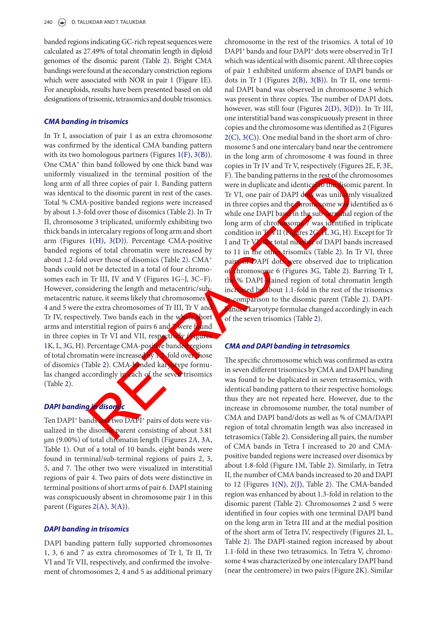banded regions indicating GC-rich repeat sequences were calculated as 27.49% of total chromatin length in diploid genomes of the disomic parent (Table 2). Bright CMA bandings were found at the secondary constriction regions which were associated with NOR in pair 1 (Figure 1E). For aneuploids, results have been presented based on old designations of trisomic, tetrasomics and double trisomics.

## **CMA banding in trisomics**

In Tr I, association of pair 1 as an extra chromosome was confirmed by the identical CMA banding pattern with its two homologous partners (Figures 1(F), 3(B)). One CMA<sup>+</sup> thin band followed by one thick band was uniformly visualized in the terminal position of the long arm of all three copies of pair 1. Banding pattern was identical to the disomic parent in rest of the cases. Total % CMA-positive banded regions were increased by about 1.3-fold over those of disomics (Table 2). In Tr II, chromosome 3 triplicated, uniformly exhibiting two thick bands in intercalary regions of long arm and short arm (Figures 1(H), 3(D)). Percentage CMA-positive banded regions of total chromatin were increased by about 1.2-fold over those of disomics (Table 2). CMA<sup>+</sup> bands could not be detected in a total of four chromosomes each in Tr III, IV and V (Figures 1G–J, 3C–F). However, considering the length and metacentric/submetacentric nature, it seems likely that chromosomes  $\overline{2}$ 4 and 5 were the extra chromosomes of Tr III, Tr V and Tr IV, respectively. Two bands each in the whole short arms and interstitial region of pairs 6 and  $\sqrt{I}$  were found in three copies in Tr VI and VII, respectively (Figure 1K, L, 3G, H). Percentage CMA-positive banded regions of total chromatin were increased by 1.2-fold over those of disomics (Table 2). CMA-banded karyotype formulas changed accordingly in each of the seven trisomics (Table 2).

## **DAPI banding in disomic**

Ten DAPI<sup>+</sup> bands and two DAPI<sup>+</sup> pairs of dots were visualized in the disomic parent consisting of about 3.81 μm (9.00%) of total chromatin length (Figures 2A, 3A, Table 1). Out of a total of 10 bands, eight bands were found in terminal/sub-terminal regions of pairs 2, 3, 5, and 7. The other two were visualized in interstitial regions of pair 4. Two pairs of dots were distinctive in terminal positions of short arms of pair 6. DAPI staining was conspicuously absent in chromosome pair 1 in this parent (Figures 2(A), 3(A)).

## **DAPI banding in trisomics**

DAPI banding pattern fully supported chromosomes 1, 3, 6 and 7 as extra chromosomes of Tr I, Tr II, Tr VI and Tr VII, respectively, and confirmed the involvement of chromosomes 2, 4 and 5 as additional primary

chromosome in the rest of the trisomics. A total of 10 DAPI<sup>+</sup> bands and four DAPI<sup>+</sup> dots were observed in Tr I which was identical with disomic parent. All three copies of pair 1 exhibited uniform absence of DAPI bands or dots in Tr I (Figures  $2(B)$ ,  $3(B)$ ). In Tr II, one terminal DAPI band was observed in chromosome 3 which was present in three copies. The number of DAPI dots, however, was still four (Figures 2(D), 3(D)). In Tr III, one interstitial band was conspicuously present in three copies and the chromosome was identified as 2 (Figures  $2(C)$ ,  $3(C)$ ). One medial band in the short arm of chromosome 5 and one intercalary band near the centromere in the long arm of chromosome 4 was found in three copies in Tr IV and Tr V, respectively (Figures 2E, F, 3E, F). The banding patterns in the rest of the chromosomes were in duplicate and identical to the disomic parent. In Tr VI, one pair of DAPI dots was uniformly visualized in three copies and the Chromosome was identified as 6 while one DAPI band in the sub-terminal region of the long arm of chromosome / was identified in triplicate condition in  $T_{\rm f}$  VII (Figures 2G, H, 3G, H). Except for Tr I and Tr VI, the total number of DAPI bands increased to 11 in the other trisomics (Table 2). In Tr VI, three pairs of DAPI dots were observed due to triplication of chromosome 6 (Figures 3G, Table 2). Barring Tr I, the % DAPI-stained region of total chromatin length increased by about 1.1-fold in the rest of the trisomics comparison to the disomic parent (Table 2). DAPI**banded** karyotype formulae changed accordingly in each of the seven trisomics (Table 2).

### **CMA and DAPI banding in tetrasomics**

The specific chromosome which was confirmed as extra in seven different trisomics by CMA and DAPI banding was found to be duplicated in seven tetrasomics, with identical banding pattern to their respective homologs; thus they are not repeated here. However, due to the increase in chromosome number, the total number of CMA and DAPI band/dots as well as % of CMA/DAPI region of total chromatin length was also increased in tetrasomics (Table 2). Considering all pairs, the number of CMA bands in Tetra I increased to 20 and CMApositive banded regions were increased over disomics by about 1.8-fold (Figure 1M, Table 2). Similarly, in Tetra II, the number of CMA bands increased to 20 and DAPI to 12 (Figures 1(N), 2(J), Table 2). The CMA-banded region was enhanced by about 1.3-fold in relation to the disomic parent (Table 2). Chromosomes 2 and 5 were identified in four copies with one terminal DAPI band on the long arm in Tetra III and at the medial position of the short arm of Tetra IV, respectively (Figures 2I, L, Table 2). The DAPI-stained region increased by about 1.1-fold in these two tetrasomics. In Tetra V, chromosome 4 was characterized by one intercalary DAPI band (near the centromere) in two pairs (Figure 2K). Similar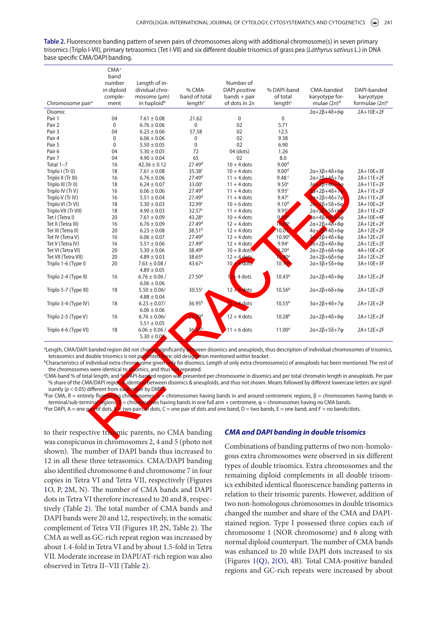**Table 2.** fluorescence banding pattern of seven pairs of chromosomes along with additional chromosome(s) in seven primary trisomics (Triplo I-VII), primary tetrasomics (Tet I-VII) and six different double trisomics of grass pea (Lathyrus sativus L.) in DNA base specific CMA/DAPI banding.

|                              | $CMA+$       |                         |                      |                |                          |                                         |                   |
|------------------------------|--------------|-------------------------|----------------------|----------------|--------------------------|-----------------------------------------|-------------------|
|                              | band         |                         |                      |                |                          |                                         |                   |
|                              | number       | Length of in-           |                      | Number of      |                          |                                         |                   |
|                              | in diploid   | dividual chro-          | % CMA-               | DAPI positive  | % DAPI-band              | CMA-banded                              | DAPI-banded       |
|                              | comple-      | mosome (µm)             | band of total        | $bands + pair$ | of total                 | karyotype for-                          | karyotype         |
| Chromosome pair <sup>a</sup> | ment         | in haploid <sup>b</sup> | length <sup>c</sup>  | of dots in 2n  | length <sup>c</sup>      | mulae $(2n)^d$                          | formulae $(2n)^e$ |
| <b>Disomic</b>               |              |                         |                      |                |                          | $2\alpha+2\beta+4\delta+6\varphi$       | $2A+10E+2F$       |
| Pair 1                       | 04           | $7.61 \pm 0.08$         | 21.62                | 0              | 0                        |                                         |                   |
| Pair 2                       | $\Omega$     | $6.76 \pm 0.06$         | 0                    | 02             | 5.71                     |                                         |                   |
| Pair <sub>3</sub>            | 04           | $6.23 \pm 0.06$         | 57.58                | 02             | 12.5                     |                                         |                   |
| Pair 4                       | $\mathbf{0}$ | $6.06 \pm 0.06$         | 0                    | 02             | 9.38                     |                                         |                   |
| Pair 5                       | 0            | $5.50 \pm 0.05$         | 0                    | 02             | 6.90                     |                                         |                   |
| Pair <sub>6</sub>            | 04           | $5.30 \pm 0.05$         | 72                   | 04 (dots)      | 1.26                     |                                         |                   |
| Pair 7                       | 04           | $4.90 \pm 0.04$         | 65                   | 02             | 8.0                      |                                         |                   |
| Total 1-7                    | 16           | $42.36 \pm 0.12$        | 27.49 <sup>d</sup>   | $10 + 4$ dots  | 9.00 <sup>d</sup>        |                                         |                   |
| Triplo I (Tr I))             | 18           | $7.61 \pm 0.08$         | 35.38 <sup>c</sup>   | $10 + 4$ dots  | 9.00 <sup>d</sup>        | $2\alpha+3\beta+4\delta+6\varphi$       | 2A+10E+3F         |
| Triplo II (Tr III)           | 16           | $6.76 \pm 0.06$         | 27.49 <sup>d</sup>   | $11 + 4$ dots  | 9.48 <sup>c</sup>        | $2\alpha + 2\beta + 4\delta + 7\varphi$ | 2A+11E+2F         |
| Triplo III (Tr II)           | 18           | $6.24 \pm 0.07$         | 33.00 <sup>c</sup>   | $11 + 4$ dots  | 9.50 <sup>c</sup>        | $3\alpha + 2\beta + 4\delta + 6\omega$  | 2A+11E+2F         |
| Triplo IV (Tr V)             | 16           | $6.06 \pm 0.06$         | 27.49 <sup>d</sup>   | $11 + 4$ dots  | 9.95c                    | $2a+2\beta+4\delta+7$                   | 2A+11E+2F         |
| Triplo V (Tr IV)             | 16           | $5.51 \pm 0.04$         | 27.49 <sup>d</sup>   | $11 + 4$ dots  | 9.47 <sup>c</sup>        | $\alpha + 2\beta + 4\delta + 7\phi$     | 2A+11E+2F         |
| Triplo VI (Tr VI)            | 18           | $5.30 \pm 0.03$         | 32.99c               | $10 + 6$ dots  | 9.10 <sup>d</sup>        | $2a+2\beta+5\delta+6\varphi$            | 3A+10E+2F         |
| Triplo VII (Tr VII)          | 18           | $4.90 \pm 0.03$         | 32.57 <sup>c</sup>   | $11 + 4$ dots  | 9.959                    | $2a + 2b + 5\delta + 6$                 | 2A+11E+2F         |
| Tet I (Tetra I)              | 20           | $7.61 \pm 0.09$         | 43.28 <sup>a</sup>   | $10 + 4$ dots  | 9 <sub>4</sub>           | $2\alpha + 4\beta + 4\delta + 6\phi$    | 2A+10E+4F         |
| Tet II (Tetra III)           | 16           | $6.76 \pm 0.09$         | 27.49 <sup>d</sup>   | $12 + 4$ dots  | 10.00°                   | $2\alpha + 2\beta + 4\delta + 8\phi$    | $2A+12E+2F$       |
| Tet III (Tetra II)           | 20           | $6.23 \pm 0.08$         | 38.51 <sup>b</sup>   | $12 + 4$ dots  | 10.01                    | $4a + 2B + 4\delta + 6\omega$           | $2A+12E+2F$       |
| Tet IV (Tetra V)             | 16           | $6.06 \pm 0.07$         | 27.49 <sup>d</sup>   | $12 + 4$ dots  | 10.90 <sup>a</sup>       | $2a+2\beta+4\delta+8\varphi$            | 2A+12E+2F         |
| Tet V (Tetra IV)             | 16           | $5.51 \pm 0.06$         | 27.49 <sup>d</sup>   | $12 + 4$ dots  | 9.94 <sup>c</sup>        | $2\alpha+2\beta+4\delta+8\varphi$       | 2A+12E+2F         |
| Tet VI (Tetra VI)            | 20           | $5.30 \pm 0.06$         | 38.49 <sup>b</sup>   | $10 + 8$ dots  | 20 <sup>d</sup>          | $2\alpha+2\beta+6\delta+6\varphi$       | 4A+10E+2F         |
| Tet VII (Tetra VII)          | 20           | $4.89 \pm 0.03$         | 38.65 <sup>b</sup>   | $12 + 4$ dots  | <b>10.90<sup>a</sup></b> | $2\alpha+2\beta+6\delta+6\varphi$       | 2A+12E+2F         |
| Triplo 1-6 (Type I)          | 20           | $7.63 \pm 0.08$ /       | 43.67 <sup>a</sup>   | 10 + 4 dots    | 10.10 <sup>b</sup>       | $2\alpha+3\beta+5\delta+6\varphi$       | 3A+10E+3F         |
|                              |              | $4.89 \pm 0.05$         |                      |                |                          |                                         |                   |
| Triplo 2-4 (Type II)         | 16           | $6.76 \pm 0.06$ /       | 27.50 <sup>d</sup>   | $12 + 4$ dots  | 10.43 <sup>b</sup>       | $2\alpha+2\beta+4\delta+8\varphi$       | $2A+12E+2F$       |
|                              |              | $6.06 \pm 0.06$         |                      |                |                          |                                         |                   |
| Triplo 5-7 (Type III)        | 18           | $5.50 \pm 0.06/$        | 30.55 <sup>c</sup>   | $12 + 4$ dots  | 10.56 <sup>b</sup>       | $2\alpha+2\beta+6\delta+6\varphi$       | 2A+12E+2F         |
|                              |              | $4.88 \pm 0.04$         |                      |                |                          |                                         |                   |
| Triplo 3-4 (Type IV)         | 18           | $6.23 \pm 0.07/$        | 36.95 <sup>b</sup>   | $2 + 4$ dots   | $10.55^{b}$              | $3\alpha+2\beta+4\delta+7\varphi$       | 2A+12E+2F         |
|                              |              | $6.06 \pm 0.06$         |                      |                |                          |                                         |                   |
| Triplo 2-5 (Type V)          | 16           | $6.76 \pm 0.06/$        | ∩d                   | $12 + 4$ dots  | 10.28 <sup>b</sup>       | $2\alpha+2\beta+4\delta+8\varphi$       | $2A+12E+2F$       |
|                              |              | $5.51 \pm 0.05$         |                      |                |                          |                                         |                   |
| Triplo 4-6 (Type VI)         | 18           | $6.06 \pm 0.06$ /       | 36<br>R <sub>b</sub> | $11 + 6$ dots  | 11.00 <sup>a</sup>       | $2\alpha+2\beta+5\delta+7\varphi$       | 2A+12E+2F         |
|                              |              | $5.30 \pm 0.05$         |                      |                |                          |                                         |                   |

<sup>a</sup>Length, CMA/DAPI banded region did not cha significantly serween disomics and aneuploids, thus description of individual chromosomes of trisomics,<br>dance; old designation mentioned within bracket. tetrasomics and double trisomics is not presented here; or including the mention mention mention mention mentio<br><sup>b</sup>Characteristics of individual extra chromosome given

by for disomics. Length of only extra chromosome(s) of aneuploids has been mentioned. The rest of the chromosomes were identical to disomics, and thus not repeated.

CMA-band % of total length, and % dappled region was presented per chromosome in disomics and per total chromatin length in aneuploids. Per pair<br>Share of the CMA/DAPI region is dentice between disomics & aneuploids, and th the identical vetween disomics & aneuploids, and thus not shown. Means followed by different lowercase letters are signif-<br>each other by DMM icantly ( $p < 0.05$ ) different from each other cMA.  $\theta$  = entirely fluorescing c

ματεκτ<mark>η</mark>α chromosomes, α= chromosomes having bands in and around centromeric regions, β = chromosomes having bands in<br>regions t) = chromosomes having bands in one full arm + centromere, φ = chromosomes having no CMA band terminal/sub-terminal regions, a = chromosomes having bands in one full arm + centromere, φ = chromosomes having no CMA bands.<br>For DAPI, A = one part of dots, b = two pairs of dots, C = one pair of dots and one band, D = <sup>e</sup> For DAPI, A = one pair of dots, B  $\neq$  two pairs of dots, C = one pair of dots and one band, D = two bands, E = one band, and F = no bands/dots.

to their respective trisomic parents, no CMA banding was conspicuous in chromosomes 2, 4 and 5 (photo not shown). The number of DAPI bands thus increased to 12 in all these three tetrasomics. CMA/DAPI banding also identified chromosome 6 and chromosome 7 in four copies in Tetra VI and Tetra VII, respectively (Figures 1O, P, 2M, N). The number of CMA bands and DAPI dots in Tetra VI therefore increased to 20 and 8, respectively (Table 2). The total number of CMA bands and DAPI bands were 20 and 12, respectively, in the somatic complement of Tetra VII (Figures 1P, 2N, Table 2). The CMA as well as GC-rich repeat region was increased by about 1.4-fold in Tetra VI and by about 1.5-fold in Tetra VII. Moderate increase in DAPI/AT-rich region was also observed in Tetra II–VII (Table 2).

#### **CMA and DAPI banding in double trisomics**

Combinations of banding patterns of two non-homologous extra chromosomes were observed in six different types of double trisomics. Extra chromosomes and the remaining diploid complements in all double trisomics exhibited identical fluorescence banding patterns in relation to their trisomic parents. However, addition of two non-homologous chromosomes in double trisomics changed the number and share of the CMA and DAPIstained region. Type I possessed three copies each of chromosome 1 (NOR chromosome) and 6 along with normal diploid counterpart. The number of CMA bands was enhanced to 20 while DAPI dots increased to six (Figures 1(Q), 2(O), 4B). Total CMA-positive banded regions and GC-rich repeats were increased by about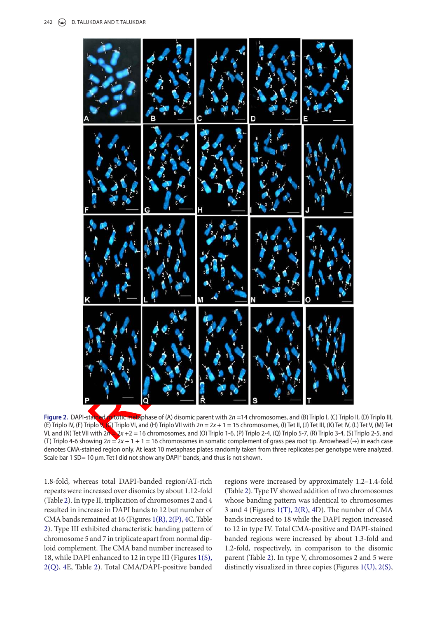

**Figure 2.** DAPI-stain not mixture metaphase of (A) disomic parent with 2n =14 chromosomes, and (B) Triplo I, (C) Triplo II, (D) Triplo III, (E) Triplo IV, (F) Triplo V, (S) Triplo VI, and (H) Triplo VII with  $2n = 2x + 1 = 15$  chromosomes, (I) Tet II, (J) Tet III, (K) Tet IV, (L) Tet V, (M) Tet VI, and (N) Tet VII with  $2n \le x+2 = 16$  chromosomes, and (O) Triplo 1-6, (P) Triplo 2-4, (Q) Triplo 5-7, (R) Triplo 3-4, (S) Triplo 2-5, and (T) Triplo 4-6 showing  $2n = 2x + 1 + 1 = 16$  chromosomes in somatic complement of grass pea root tip. Arrowhead (→) in each case denotes Cma-stained region only. at least 10 metaphase plates randomly taken from three replicates per genotype were analyzed. Scale bar 1 SD= 10 μm. Tet I did not show any DAPI<sup>+</sup> bands, and thus is not shown.

1.8-fold, whereas total DAPI-banded region/AT-rich repeats were increased over disomics by about 1.12-fold (Table 2). In type II, triplication of chromosomes 2 and 4 resulted in increase in DAPI bands to 12 but number of CMA bands remained at 16 (Figures 1(R), 2(P), 4C, Table 2). Type III exhibited characteristic banding pattern of chromosome 5 and 7 in triplicate apart from normal diploid complement. The CMA band number increased to 18, while DAPI enhanced to 12 in type III (Figures 1(S), 2(Q), 4E, Table 2). Total CMA/DAPI-positive banded

regions were increased by approximately 1.2–1.4-fold (Table 2). Type IV showed addition of two chromosomes whose banding pattern was identical to chromosomes 3 and 4 (Figures 1(T), 2(R), 4D). The number of CMA bands increased to 18 while the DAPI region increased to 12 in type IV. Total CMA-positive and DAPI-stained banded regions were increased by about 1.3-fold and 1.2-fold, respectively, in comparison to the disomic parent (Table 2). In type V, chromosomes 2 and 5 were distinctly visualized in three copies (Figures 1(U), 2(S),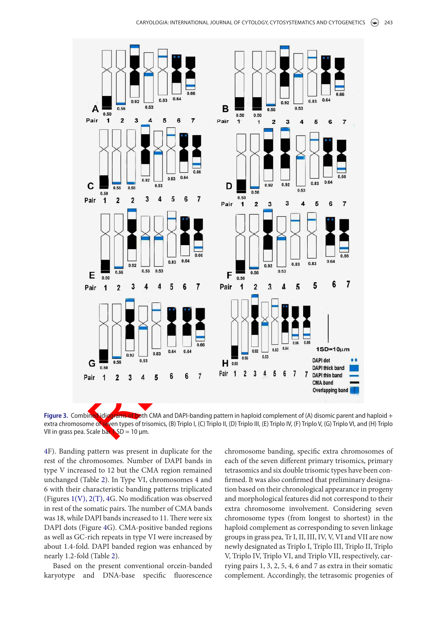

**Figure 3.** Combined idiograms of both CMA and DAPI-banding pattern in haploid complement of (A) disomic parent and haploid + extra chromosome of seven types of trisomics, (B) Triplo I, (C) Triplo II, (D) Triplo III, (E) Triplo IV, (F) Triplo V, (G) Triplo VI, and (H) Triplo VII in grass pea. Scale bar  $1\text{SD} = 10 \text{ µm}$ .

4F). Banding pattern was present in duplicate for the rest of the chromosomes. Number of DAPI bands in type V increased to 12 but the CMA region remained unchanged (Table 2). In Type VI, chromosomes 4 and 6 with their characteristic banding patterns triplicated (Figures 1(V), 2(T), 4G. No modification was observed in rest of the somatic pairs. The number of CMA bands was 18, while DAPI bands increased to 11. There were six DAPI dots (Figure 4G). CMA-positive banded regions as well as GC-rich repeats in type VI were increased by about 1.4-fold. DAPI banded region was enhanced by nearly 1.2-fold (Table 2).

Based on the present conventional orcein-banded karyotype and DNA-base specific fluorescence chromosome banding, specific extra chromosomes of each of the seven different primary trisomics, primary tetrasomics and six double trisomic types have been confirmed. It was also confirmed that preliminary designation based on their chronological appearance in progeny and morphological features did not correspond to their extra chromosome involvement. Considering seven chromosome types (from longest to shortest) in the haploid complement as corresponding to seven linkage groups in grass pea, Tr I, II, III, IV, V, VI and VII are now newly designated as Triplo I, Triplo III, Triplo II, Triplo V, Triplo IV, Triplo VI, and Triplo VII, respectively, carrying pairs 1, 3, 2, 5, 4, 6 and 7 as extra in their somatic complement. Accordingly, the tetrasomic progenies of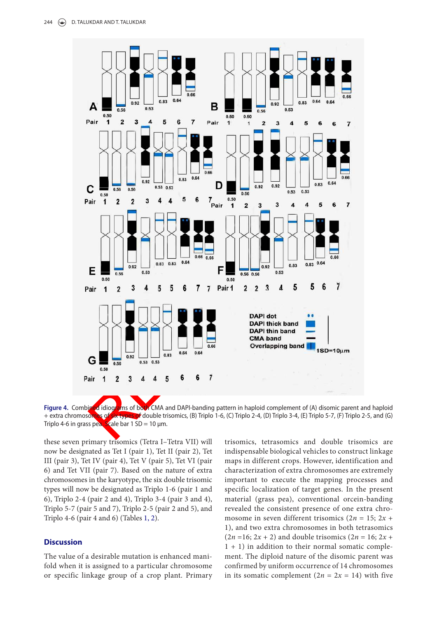

**Figure 4.** Combined idiograms of both CMA and DAPI-banding pattern in haploid complement of (A) disomic parent and haploid + extra chromosomes of six-types of double trisomics, (B) Triplo 1-6, (C) Triplo 2-4, (D) Triplo 3 + extra chromosomes of six types of double trisomics, (B) Triplo 1-6, (C) Triplo 2-4, (D) Triplo 3-4, (E) Triplo 5-7, (F) Triplo 2-5, and (G) Triplo 4-6 in grass pea. Scale bar 1 SD = 10  $\mu$ m.

these seven primary trisomics (Tetra I–Tetra VII) will now be designated as Tet I (pair 1), Tet II (pair 2), Tet III (pair 3), Tet IV (pair 4), Tet V (pair 5), Tet VI (pair 6) and Tet VII (pair 7). Based on the nature of extra chromosomes in the karyotype, the six double trisomic types will now be designated as Triplo 1-6 (pair 1 and 6), Triplo 2-4 (pair 2 and 4), Triplo 3-4 (pair 3 and 4), Triplo 5-7 (pair 5 and 7), Triplo 2-5 (pair 2 and 5), and Triplo 4-6 (pair 4 and 6) (Tables 1, 2).

## **Discussion**

The value of a desirable mutation is enhanced manifold when it is assigned to a particular chromosome or specific linkage group of a crop plant. Primary trisomics, tetrasomics and double trisomics are indispensable biological vehicles to construct linkage maps in different crops. However, identification and characterization of extra chromosomes are extremely important to execute the mapping processes and specific localization of target genes. In the present material (grass pea), conventional orcein-banding revealed the consistent presence of one extra chromosome in seven different trisomics  $(2n = 15; 2x +$ 1), and two extra chromosomes in both tetrasomics  $(2n = 16; 2x + 2)$  and double trisomics  $(2n = 16; 2x + 1)$ 1 + 1) in addition to their normal somatic complement. The diploid nature of the disomic parent was confirmed by uniform occurrence of 14 chromosomes in its somatic complement  $(2n = 2x = 14)$  with five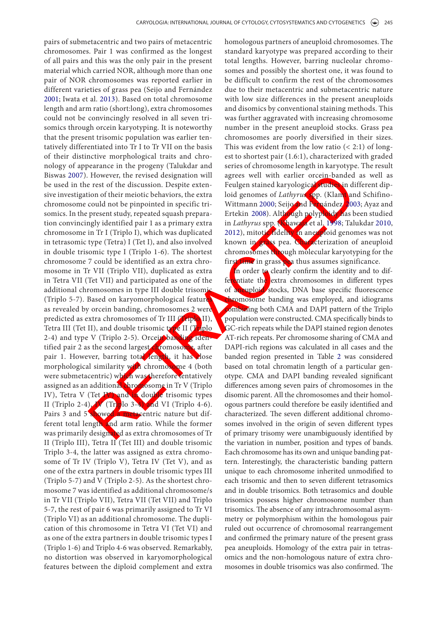pairs of submetacentric and two pairs of metacentric chromosomes. Pair 1 was confirmed as the longest of all pairs and this was the only pair in the present material which carried NOR, although more than one pair of NOR chromosomes was reported earlier in different varieties of grass pea (Seijo and Fernández 2001; Iwata et al. 2013). Based on total chromosome length and arm ratio (short:long), extra chromosomes could not be convincingly resolved in all seven trisomics through orcein karyotyping. It is noteworthy that the present trisomic population was earlier tentatively differentiated into Tr I to Tr VII on the basis of their distinctive morphological traits and chronology of appearance in the progeny (Talukdar and Biswas 2007). However, the revised designation will be used in the rest of the discussion. Despite extensive investigation of their meiotic behaviors, the extra chromosome could not be pinpointed in specific trisomics. In the present study, repeated squash preparation convincingly identified pair 1 as a primary extra chromosome in Tr I (Triplo I), which was duplicated in tetrasomic type (Tetra) I (Tet I), and also involved in double trisomic type I (Triplo 1-6). The shortest chromosome 7 could be identified as an extra chromosome in Tr VII (Triplo VII), duplicated as extra in Tetra VII (Tet VII) and participated as one of the additional chromosomes in type III double trisomi (Triplo 5-7). Based on karyomorphological features as revealed by orcein banding, chromosomes 2 were predicted as extra chromosomes of Tr III (Triplo II), Tetra III (Tet II), and double trisomic type II (Triplo 2-4) and type V (Triplo 2-5). Orcein banding identified pair 2 as the second largest  $\triangle$  romosome, after pair 1. However, barring total length, it has close morphological similarity with chromosome 4 (both were submetacentric) which was therefore tentatively assigned as an additional chromosome in Tr V (Triplo IV), Tetra V (Tet IV) and in double trisomic types II (Triplo 2-4),  $\sqrt{V}$  (Triplo 3-4) and VI (Triplo 4-6). Pairs 3 and 5 showed a metacentric nature but different total length and arm ratio. While the former was primarily designated as extra chromosomes of Tr II (Triplo III), Tetra II (Tet III) and double trisomic Triplo 3-4, the latter was assigned as extra chromosome of Tr IV (Triplo V), Tetra IV (Tet V), and as one of the extra partners in double trisomic types III (Triplo 5-7) and V (Triplo 2-5). As the shortest chromosome 7 was identified as additional chromosome/s in Tr VII (Triplo VII), Tetra VII (Tet VII) and Triplo 5-7, the rest of pair 6 was primarily assigned to Tr VI (Triplo VI) as an additional chromosome. The duplication of this chromosome in Tetra VI (Tet VI) and as one of the extra partners in double trisomic types I (Triplo 1-6) and Triplo 4-6 was observed. Remarkably, no distortion was observed in karyomorphological features between the diploid complement and extra

homologous partners of aneuploid chromosomes. The standard karyotype was prepared according to their total lengths. However, barring nucleolar chromosomes and possibly the shortest one, it was found to be difficult to confirm the rest of the chromosomes due to their metacentric and submetacentric nature with low size differences in the present aneuploids and disomics by conventional staining methods. This was further aggravated with increasing chromosome number in the present aneuploid stocks. Grass pea chromosomes are poorly diversified in their sizes. This was evident from the low ratio  $(< 2:1)$  of longest to shortest pair (1.6:1), characterized with graded series of chromosome length in karyotype. The result agrees well with earlier orcein-banded as well as Feulgen stained karyological studies in different diploid genomes of Lathyrus spp. (Klamt and Schifino-Wittmann 2000; Seijo and Fernández 2003; Ayaz and Ertekin 2008). Although polyploidy has been studied in Lathyrus spp. (Khawaja et al. 1998; Talukdar 2010, 2012), mitotic fidelity in aneuploid genomes was not known in grass pea. Characterization of aneuploid chromosomes through molecular karyotyping for the first time in grass pea thus assumes significance.

In order to clearly confirm the identity and to differentiate the extra chromosomes in different types of aneuploid stocks, DNA base specific fluorescence chromosome banding was employed, and idiograms combining both CMA and DAPI pattern of the Triplo population were constructed. CMA specifically binds to GC-rich repeats while the DAPI stained region denotes AT-rich repeats. Per chromosome sharing of CMA and DAPI-rich regions was calculated in all cases and the banded region presented in Table 2 was considered based on total chromatin length of a particular genotype. CMA and DAPI banding revealed significant differences among seven pairs of chromosomes in the disomic parent. All the chromosomes and their homologous partners could therefore be easily identified and characterized. The seven different additional chromosomes involved in the origin of seven different types of primary trisomy were unambiguously identified by the variation in number, position and types of bands. Each chromosome has its own and unique banding pattern. Interestingly, the characteristic banding pattern unique to each chromosome inherited unmodified to each trisomic and then to seven different tetrasomics and in double trisomics. Both tetrasomics and double trisomics possess higher chromosome number than trisomics. The absence of any intrachromosomal asymmetry or polymorphism within the homologous pair ruled out occurrence of chromosomal rearrangement and confirmed the primary nature of the present grass pea aneuploids. Homology of the extra pair in tetrasomics and the non-homologous nature of extra chromosomes in double trisomics was also confirmed. The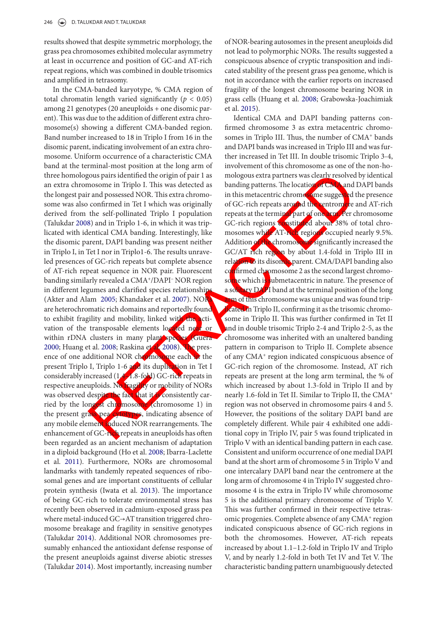results showed that despite symmetric morphology, the grass pea chromosomes exhibited molecular asymmetry at least in occurrence and position of GC-and AT-rich repeat regions, which was combined in double trisomics and amplified in tetrasomy.

In the CMA-banded karyotype, % CMA region of total chromatin length varied significantly ( $p < 0.05$ ) among 21 genotypes (20 aneuploids + one disomic parent). This was due to the addition of different extra chromosome(s) showing a different CMA-banded region. Band number increased to 18 in Triplo I from 16 in the disomic parent, indicating involvement of an extra chromosome. Uniform occurrence of a characteristic CMA band at the terminal-most position at the long arm of three homologous pairs identified the origin of pair 1 as an extra chromosome in Triplo I. This was detected as the longest pair and possessed NOR. This extra chromosome was also confirmed in Tet I which was originally derived from the self-pollinated Triplo I population (Talukdar 2008) and in Triplo 1-6, in which it was triplicated with identical CMA banding. Interestingly, like the disomic parent, DAPI banding was present neither in Triplo I, in Tet I nor in Triplo1-6. The results unraveled presences of GC-rich repeats but complete absence of AT-rich repeat sequence in NOR pair. Fluorescent banding similarly revealed a CMA<sup>+</sup> /DAPI– NOR region in different legumes and clarified species relationships (Akter and Alam 2005; Khandaker et al. 2007). NORs are heterochromatic rich domains and reportedly found to exhibit fragility and mobility, linked with the activation of the transposable elements located near or within rDNA clusters in many plant species (Guera-2000; Huang et al. 2008; Raskina et al. 2008). The presence of one additional NOR chromosome each in the present Triplo I, Triplo 1-6 and its duplication in Tet I considerably increased (1.4–1.8-fold) GC-rich repeats in respective aneuploids. No **Fragility** or mobility of NORs was observed despite the fact that it is consistently carried by the longest chromosome (chromosome 1) in the present grass pea cytotypes, indicating absence of any mobile element induced NOR rearrangements. The enhancement of GC-rich repeats in aneuploids has often been regarded as an ancient mechanism of adaptation in a diploid background (Ho et al. 2008; Ibarra-Laclette et al. 2011). Furthermore, NORs are chromosomal landmarks with tandemly repeated sequences of ribosomal genes and are important constituents of cellular protein synthesis (Iwata et al. 2013). The importance of being GC-rich to tolerate environmental stress has recently been observed in cadmium-exposed grass pea where metal-induced GC→AT transition triggered chromosome breakage and fragility in sensitive genotypes (Talukdar 2014). Additional NOR chromosomes presumably enhanced the antioxidant defense response of the present aneuploids against diverse abiotic stresses (Talukdar 2014). Most importantly, increasing number

of NOR-bearing autosomes in the present aneuploids did not lead to polymorphic NORs. The results suggested a conspicuous absence of cryptic transposition and indicated stability of the present grass pea genome, which is not in accordance with the earlier reports on increased fragility of the longest chromosome bearing NOR in grass cells (Huang et al. 2008; Grabowska-Joachimiak et al. 2015).

Identical CMA and DAPI banding patterns confirmed chromosome 3 as extra metacentric chromosomes in Triplo III. Thus, the number of CMA<sup>+</sup> bands and DAPI bands was increased in Triplo III and was further increased in Tet III. In double trisomic Triplo 3-4, involvement of this chromosome as one of the non-homologous extra partners was clearly resolved by identical banding patterns. The location of CMA and DAPI bands in this metacentric chromosome suggested the presence of GC-rich repeats around the centromere and AT-rich repeats at the terminal part of one arm. Per chromosome GC-rich regions constituted about 38% of total chromosomes while AT-rich regions occupied nearly 9.5%. Addition of the chromosome significantly increased the GC/AT rich region by about 1.4-fold in Triplo III in relation to its disomic parent. CMA/DAPI banding also confirmed chromosome 2 as the second largest chromosome which is submetacentric in nature. The presence of a solutary DAPI band at the terminal position of the long arm of this chromosome was unique and was found trip-Licated in Triplo II, confirming it as the trisomic chromosome in Triplo II. This was further confirmed in Tet II and in double trisomic Triplo 2-4 and Triplo 2-5, as the chromosome was inherited with an unaltered banding pattern in comparison to Triplo II. Complete absence of any CMA<sup>+</sup> region indicated conspicuous absence of GC-rich region of the chromosome. Instead, AT rich repeats are present at the long arm terminal, the % of which increased by about 1.3-fold in Triplo II and by nearly 1.6-fold in Tet II. Similar to Triplo II, the CMA<sup>+</sup> region was not observed in chromosome pairs 4 and 5. However, the positions of the solitary DAPI band are completely different. While pair 4 exhibited one additional copy in Triplo IV, pair 5 was found triplicated in Triplo V with an identical banding pattern in each case. Consistent and uniform occurrence of one medial DAPI band at the short arm of chromosome 5 in Triplo V and one intercalary DAPI band near the centromere at the long arm of chromosome 4 in Triplo IV suggested chromosome 4 is the extra in Triplo IV while chromosome 5 is the additional primary chromosome of Triplo V. This was further confirmed in their respective tetrasomic progenies. Complete absence of any CMA<sup>+</sup> region indicated conspicuous absence of GC-rich regions in both the chromosomes. However, AT-rich repeats increased by about 1.1–1.2-fold in Triplo IV and Triplo V, and by nearly 1.2-fold in both Tet IV and Tet V. The characteristic banding pattern unambiguously detected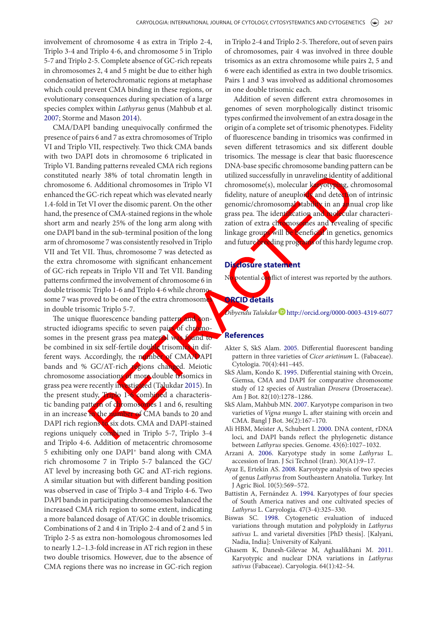involvement of chromosome 4 as extra in Triplo 2-4, Triplo 3-4 and Triplo 4-6, and chromosome 5 in Triplo 5-7 and Triplo 2-5. Complete absence of GC-rich repeats in chromosomes 2, 4 and 5 might be due to either high condensation of heterochromatic regions at metaphase which could prevent CMA binding in these regions, or evolutionary consequences during speciation of a large species complex within Lathyrus genus (Mahbub et al. 2007; Storme and Mason 2014).

CMA/DAPI banding unequivocally confirmed the presence of pairs 6 and 7 as extra chromosomes of Triplo VI and Triplo VII, respectively. Two thick CMA bands with two DAPI dots in chromosome 6 triplicated in Triplo VI. Banding patterns revealed CMA rich regions constituted nearly 38% of total chromatin length in chromosome 6. Additional chromosomes in Triplo VI enhanced the GC-rich repeat which was elevated nearly 1.4-fold in Tet VI over the disomic parent. On the other hand, the presence of CMA-stained regions in the whole short arm and nearly 25% of the long arm along with one DAPI band in the sub-terminal position of the long arm of chromosome 7 was consistently resolved in Triplo VII and Tet VII. Thus, chromosome 7 was detected as the extra chromosome with significant enhancement of GC-rich repeats in Triplo VII and Tet VII. Banding patterns confirmed the involvement of chromosome 6 in double trisomic Triplo 1-6 and Triplo 4-6 while chromosome 7 was proved to be one of the extra chromosome in double trisomic Triplo 5-7.

The unique fluorescence banding pattern and constructed idiograms specific to seven pairs of chromosomes in the present grass pea material was found tobe combined in six self-fertile double trisomics in different ways. Accordingly, the number of CMA/DAPI bands and % GC/AT-rich regions changed. Meiotic chromosome associations of more double trisomics in grass pea were recently investigated (Talukdar 2015). In the present study, Triplo 1-6 combined a characteristic banding pattern of chromosomes 1 and 6, resulting in an increase in the number of CMA bands to 20 and DAPI rich regions to six dots. CMA and DAPI-stained regions uniquely combined in Triplo 5-7, Triplo 3-4 and Triplo 4-6. Addition of metacentric chromosome 5 exhibiting only one DAPI<sup>+</sup> band along with CMA rich chromosome 7 in Triplo 5-7 balanced the GC/ AT level by increasing both GC and AT-rich regions. A similar situation but with different banding position was observed in case of Triplo 3-4 and Triplo 4-6. Two DAPI bands in participating chromosomes balanced the increased CMA rich region to some extent, indicating a more balanced dosage of AT/GC in double trisomics. Combinations of 2 and 4 in Triplo 2-4 and of 2 and 5 in Triplo 2-5 as extra non-homologous chromosomes led to nearly 1.2–1.3-fold increase in AT rich region in these two double trisomics. However, due to the absence of CMA regions there was no increase in GC-rich region

in Triplo 2-4 and Triplo 2-5. Therefore, out of seven pairs of chromosomes, pair 4 was involved in three double trisomics as an extra chromosome while pairs 2, 5 and 6 were each identified as extra in two double trisomics. Pairs 1 and 3 was involved as additional chromosomes in one double trisomic each.

Addition of seven different extra chromosomes in genomes of seven morphologically distinct trisomic types confirmed the involvement of an extra dosage in the origin of a complete set of trisomic phenotypes. Fidelity of fluorescence banding in trisomics was confirmed in seven different tetrasomics and six different double trisomics. The message is clear that basic fluorescence DNA-base specific chromosome banding pattern can be utilized successfully in unraveling identity of additional chromosome(s), molecular karyotyping, chromosomal fidelity, nature of aneuploidy and detection of intrinsic genomic/chromosomal stability in an annual crop like grass pea. The identification and molecular characterization of extra chromosomes and revealing of specific linkage groups will be beneficial in genetics, genomics and future breeding programs of this hardy legume crop.

## **Disclosure statement**

No potential conflict of interest was reported by the authors.

## **ORCID details**

Dibyendu Talukdar D http://orcid.org/0000-0003-4319-6077

### **References**

- Akter S, SkS Alam. 2005. Differential fluorescent banding pattern in three varieties of Cicer arietinum L. (Fabaceae). Cytologia. 70(4):441–445.
- SkS Alam, Kondo K. 1995. Differential staining with Orcein, Giemsa, CMA and DAPI for comparative chromosome study of 12 species of Australian Drosera (Droseraceae). Am J Bot. 82(10):1278–1286.
- SkS Alam, Mahbub MN. 2007. Karyotype comparison in two varieties of Vigna mungo L. after staining with orcein and CMA. Bangl J Bot. 36(2):167–170.
- Ali HBM, Meister A, Schubert I. 2000. DNA content, rDNA loci, and DAPI bands reflect the phylogenetic distance between Lathyrus species. Genome. 43(6):1027–1032.
- Arzani A. 2006. Karyotype study in some Lathyrus L. accession of Iran. J Sci Technol (Iran). 30(A1):9–17.
- Ayaz E, Ertekin AS. 2008. Karyotype analysis of two species of genus Lathyrus from Southeastern Anatolia. Turkey. Int J Agric Biol. 10(5):569–572.
- Battistin A, Fernández A. 1994. Karyotypes of four species of South America natives and one cultivated species of Lathyrus L. Caryologia. 47(3-4):325–330.
- Biswas SC. 1998. Cytogenetic evaluation of induced variations through mutation and polyploidy in Lathyrus sativus L. and varietal diversities [PhD thesis]. [Kalyani, Nadia, India]: University of Kalyani.
- Ghasem K, Danesh-Gilevae M, Aghaalikhani M. 2011. Karyotypic and nuclear DNA variations in Lathyrus sativus (Fabaceae). Caryologia. 64(1):42–54.